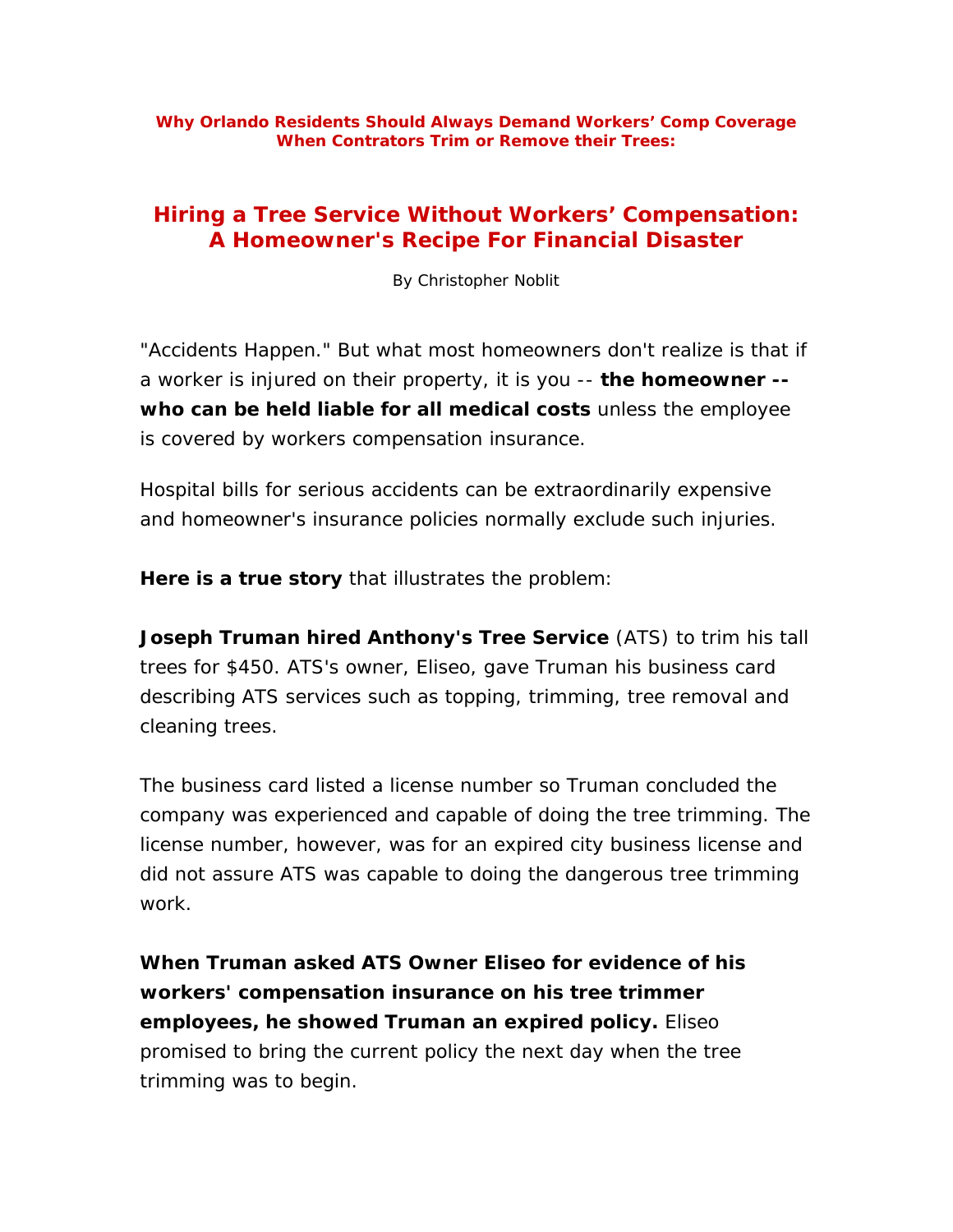## **Hiring a Tree Service Without Workers' Compensation: A Homeowner's Recipe For Financial Disaster**

By Christopher Noblit

"Accidents Happen." But what most homeowners don't realize is that if a worker is injured on their property, it is you -- **the homeowner - who can be held liable for all medical costs** unless the employee is covered by workers compensation insurance.

Hospital bills for serious accidents can be extraordinarily expensive and homeowner's insurance policies normally exclude such injuries.

**Here is a true story** that illustrates the problem:

**Joseph Truman hired Anthony's Tree Service** (ATS) to trim his tall trees for \$450. ATS's owner, Eliseo, gave Truman his business card describing ATS services such as topping, trimming, tree removal and cleaning trees.

The business card listed a license number so Truman concluded the company was experienced and capable of doing the tree trimming. The license number, however, was for an expired city business license and did not assure ATS was capable to doing the dangerous tree trimming work.

**When Truman asked ATS Owner Eliseo for evidence of his workers' compensation insurance on his tree trimmer employees, he showed Truman an expired policy.** Eliseo promised to bring the current policy the next day when the tree trimming was to begin.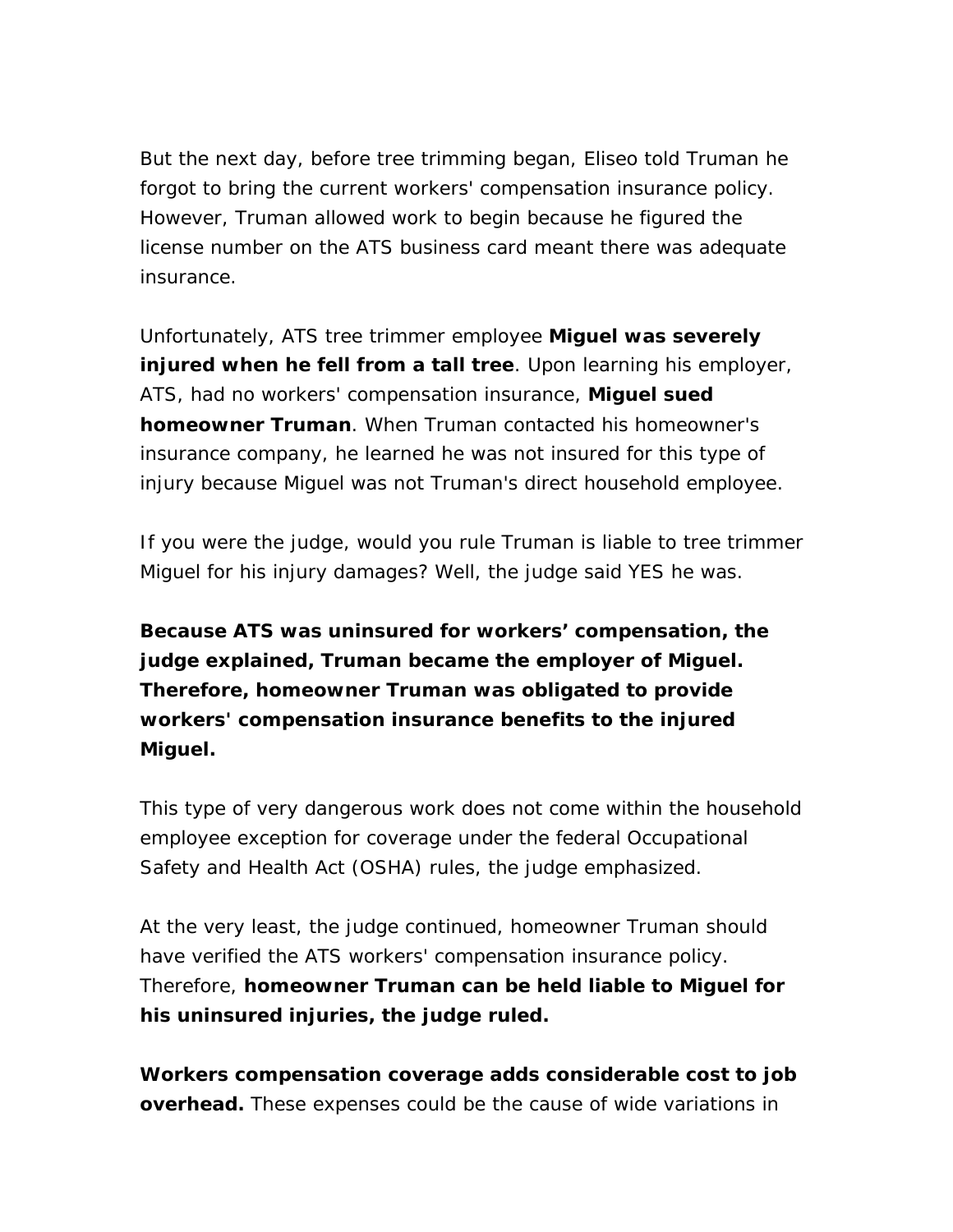But the next day, before tree trimming began, Eliseo told Truman he forgot to bring the current workers' compensation insurance policy. However, Truman allowed work to begin because he figured the license number on the ATS business card meant there was adequate insurance.

Unfortunately, ATS tree trimmer employee **Miguel was severely injured when he fell from a tall tree**. Upon learning his employer, ATS, had no workers' compensation insurance, **Miguel sued homeowner Truman**. When Truman contacted his homeowner's insurance company, he learned he was not insured for this type of injury because Miguel was not Truman's direct household employee.

If you were the judge, would you rule Truman is liable to tree trimmer Miguel for his injury damages? Well, the judge said YES he was.

**Because ATS was uninsured for workers' compensation, the judge explained, Truman became the employer of Miguel. Therefore, homeowner Truman was obligated to provide workers' compensation insurance benefits to the injured Miguel.**

This type of very dangerous work does not come within the household employee exception for coverage under the federal Occupational Safety and Health Act (OSHA) rules, the judge emphasized.

At the very least, the judge continued, homeowner Truman should have verified the ATS workers' compensation insurance policy. Therefore, **homeowner Truman can be held liable to Miguel for his uninsured injuries, the judge ruled.**

**Workers compensation coverage adds considerable cost to job overhead.** These expenses could be the cause of wide variations in